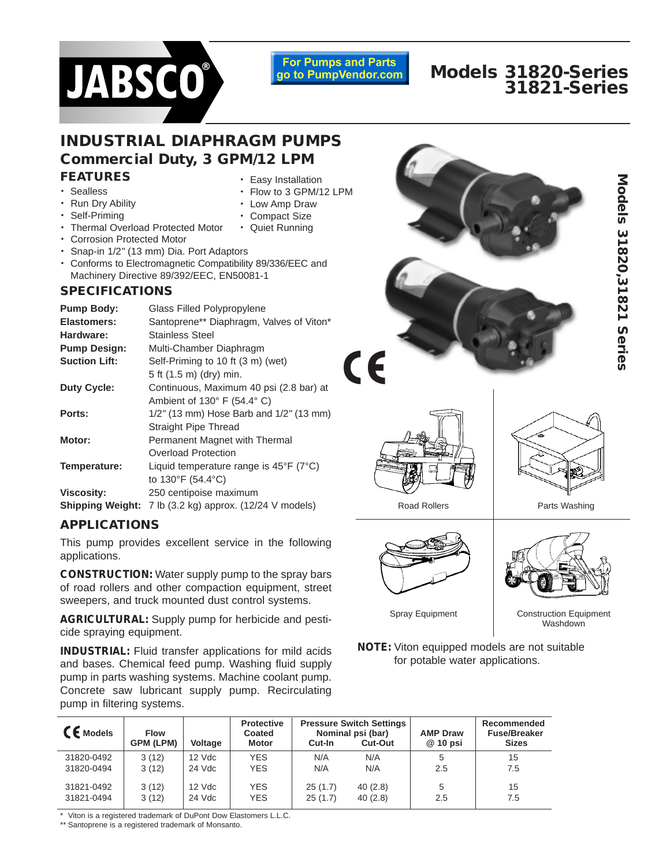# **JABSCO®**

**For Pumps and Parts** go to PumpVendor.com

# **Models 31820-Series 31821-Series**

#### **FEATURES** • Easy Installation **INDUSTRIAL DIAPHRAGM PUMPS Commercial Duty, 3 GPM/12 LPM**

• Low Amp Draw • Compact Size • Quiet Running

- Sealless
- Run Dry Ability
- Self-Priming
- Thermal Overload Protected Motor
- Corrosion Protected Motor
- Snap-in 1/2" (13 mm) Dia. Port Adaptors
- Conforms to Electromagnetic Compatibility 89/336/EEC and Machinery Directive 89/392/EEC, EN50081-1

## **SPECIFICATIONS**

| <b>Pump Body:</b>       | Glass Filled Polypropylene                                 |
|-------------------------|------------------------------------------------------------|
| <b>Elastomers:</b>      | Santoprene** Diaphragm, Valves of Viton*                   |
| Hardware:               | Stainless Steel                                            |
| <b>Pump Design:</b>     | Multi-Chamber Diaphragm                                    |
| <b>Suction Lift:</b>    | Self-Priming to 10 ft (3 m) (wet)                          |
|                         | 5 ft (1.5 m) (dry) min.                                    |
| <b>Duty Cycle:</b>      | Continuous, Maximum 40 psi (2.8 bar) at                    |
|                         | Ambient of $130^\circ$ F (54.4 $^\circ$ C)                 |
| Ports:                  | $1/2$ " (13 mm) Hose Barb and $1/2$ " (13 mm)              |
|                         | <b>Straight Pipe Thread</b>                                |
| Motor:                  | Permanent Magnet with Thermal                              |
|                         | Overload Protection                                        |
| Temperature:            | Liquid temperature range is $45^{\circ}F$ (7 $^{\circ}C$ ) |
|                         | to 130°F (54.4°C)                                          |
| <b>Viscosity:</b>       | 250 centipoise maximum                                     |
| <b>Shipping Weight:</b> | 7 lb (3.2 kg) approx. (12/24 V models)                     |

## **APPLICATIONS**

This pump provides excellent service in the following applications.

**CONSTRUCTION:** Water supply pump to the spray bars of road rollers and other compaction equipment, street sweepers, and truck mounted dust control systems.

**AGRICULTURAL:** Supply pump for herbicide and pesticide spraying equipment.

**INDUSTRIAL:** Fluid transfer applications for mild acids and bases. Chemical feed pump. Washing fluid supply pump in parts washing systems. Machine coolant pump. Concrete saw lubricant supply pump. Recirculating pump in filtering systems.





Road Rollers **Parts Washing** 



Spray Equipment

| <b>CE</b> Models | <b>Flow</b><br><b>GPM (LPM)</b> | <b>Voltage</b> | <b>Protective</b><br>Coated<br><b>Motor</b> | Cut-In  | <b>Pressure Switch Settings</b><br>Nominal psi (bar)<br>Cut-Out | <b>AMP Draw</b><br>@ 10 psi | Recommended<br><b>Fuse/Breaker</b><br><b>Sizes</b> |
|------------------|---------------------------------|----------------|---------------------------------------------|---------|-----------------------------------------------------------------|-----------------------------|----------------------------------------------------|
| 31820-0492       | 3(12)                           | 12 Vdc         | <b>YES</b>                                  | N/A     | N/A                                                             | 5                           | 15                                                 |
| 31820-0494       | 3(12)                           | 24 Vdc         | <b>YES</b>                                  | N/A     | N/A                                                             | 2.5                         | 7.5                                                |
| 31821-0492       | 3(12)                           | 12 Vdc         | <b>YES</b>                                  | 25(1.7) | 40(2.8)                                                         | 5                           | 15                                                 |
| 31821-0494       | 3(12)                           | 24 Vdc         | <b>YES</b>                                  | 25(1.7) | 40(2.8)                                                         | 2.5                         | 7.5                                                |

Viton is a registered trademark of DuPont Dow Elastomers L.L.C.

\*\* Santoprene is a registered trademark of Monsanto.

Construction Equipment Washdown

**NOTE:** Viton equipped models are not suitable for potable water applications.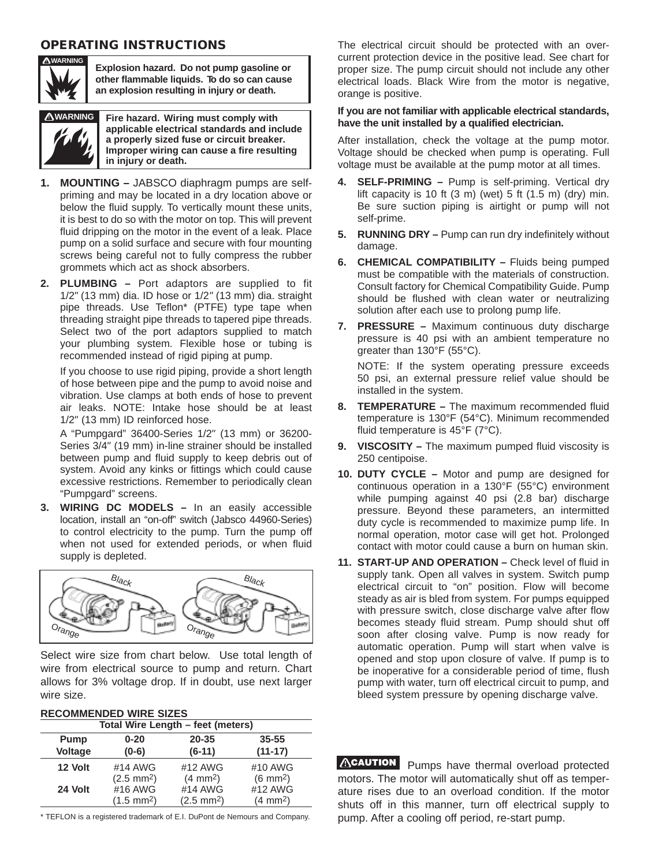## **OPERATING INSTRUCTIONS**



**Explosion hazard. Do not pump gasoline or other flammable liquids. T
o do so can cause an explosion resulting in injury or death.** 



**WARNING Fire hazard. Wiring must comply with applicable electrical standards and include a properly sized fuse or circuit breaker. Improper wiring can cause a fire resulting in injury or death.**

- **1. MOUNTING** JABSCO diaphragm pumps are selfpriming and may be located in a dry location above or below the fluid supply. To vertically mount these units, it is best to do so with the motor on top. This will prevent fluid dripping on the motor in the event of a leak. Place pump on a solid surface and secure with four mounting screws being careful not to fully compress the rubber grommets which act as shock absorbers.
- **2. PLUMBING** Port adaptors are supplied to fit 1/2" (13 mm) dia. ID hose or 1/2" (13 mm) dia. straight pipe threads. Use Teflon\* (PTFE) type tape when threading straight pipe threads to tapered pipe threads. Select two of the port adaptors supplied to match your plumbing system. Flexible hose or tubing is recommended instead of rigid piping at pump.

If you choose to use rigid piping, provide a short length of hose between pipe and the pump to avoid noise and vibration. Use clamps at both ends of hose to prevent air leaks. NOTE: Intake hose should be at least 1/2" (13 mm) ID reinforced hose.

A "Pumpgard" 36400-Series 1/2" (13 mm) or 36200- Series 3/4" (19 mm) in-line strainer should be installed between pump and fluid supply to keep debris out of system. Avoid any kinks or fittings which could cause excessive restrictions. Remember to periodically clean "Pumpgard" screens.

**3. WIRING DC MODELS –** In an easily accessible location, install an "on-off" switch (Jabsco 44960-Series) to control electricity to the pump. Turn the pump off when not used for extended periods, or when fluid supply is depleted.



Select wire size from chart below. Use total length of wire from electrical source to pump and return. Chart allows for 3% voltage drop. If in doubt, use next larger wire size.

#### **RECOMMENDED WIRE SIZES**

| Total Wire Length - feet (meters) |                      |                      |                      |  |
|-----------------------------------|----------------------|----------------------|----------------------|--|
| Pump                              | $0 - 20$             | 20-35                | $35 - 55$            |  |
| Voltage                           | $(0-6)$              | $(6-11)$             | $(11-17)$            |  |
| 12 Volt                           | #14 AWG              | #12 AWG              | #10 AWG              |  |
|                                   | $(2.5 \text{ mm}^2)$ | $(4 \text{ mm}^2)$   | $(6 \text{ mm}^2)$   |  |
| 24 Volt                           | #16 AWG              | #14 AWG              | #12 AWG              |  |
|                                   | $(1.5 \text{ mm}^2)$ | $(2.5 \text{ mm}^2)$ | (4 mm <sup>2</sup> ) |  |

\* TEFLON is a registered trademark of E.I. DuPont de Nemours and Company.

The electrical circuit should be protected with an overcurrent protection device in the positive lead. See chart for proper size. The pump circuit should not include any other electrical loads. Black Wire from the motor is negative, orange is positive.

#### **If you are not familiar with applicable electrical standards, have the unit installed by a qualified electrician.**

After installation, check the voltage at the pump motor. Voltage should be checked when pump is operating. Full voltage must be available at the pump motor at all times.

- **4. SELF-PRIMING** Pump is self-priming. Vertical dry lift capacity is 10 ft  $(3 \text{ m})$  (wet) 5 ft  $(1.5 \text{ m})$  (dry) min. Be sure suction piping is airtight or pump will not self-prime.
- **5. RUNNING DRY Pump can run dry indefinitely without** damage.
- **6. CHEMICAL COMPATIBILITY** Fluids being pumped must be compatible with the materials of construction. Consult factory for Chemical Compatibility Guide. Pump should be flushed with clean water or neutralizing solution after each use to prolong pump life.
- **7. PRESSURE** Maximum continuous duty discharge pressure is 40 psi with an ambient temperature no greater than 130°F (55°C).

NOTE: If the system operating pressure exceeds 50 psi, an external pressure relief value should be installed in the system.

- **8. TEMPERATURE** The maximum recommended fluid temperature is 130°F (54°C). Minimum recommended fluid temperature is 45°F (7°C).
- **9. VISCOSITY** The maximum pumped fluid viscosity is 250 centipoise.
- **10. DUTY CYCLE** Motor and pump are designed for continuous operation in a 130°F (55°C) environment while pumping against 40 psi (2.8 bar) discharge pressure. Beyond these parameters, an intermitted duty cycle is recommended to maximize pump life. In normal operation, motor case will get hot. Prolonged contact with motor could cause a burn on human skin.
- **11. START-UP AND OPERATION** Check level of fluid in supply tank. Open all valves in system. Switch pump electrical circuit to "on" position. Flow will become steady as air is bled from system. For pumps equipped with pressure switch, close discharge valve after flow becomes steady fluid stream. Pump should shut off soon after closing valve. Pump is now ready for automatic operation. Pump will start when valve is opened and stop upon closure of valve. If pump is to be inoperative for a considerable period of time, flush pump with water, turn off electrical circuit to pump, and bleed system pressure by opening discharge valve.

ACAUTION Pumps have thermal overload protected motors. The motor will automatically shut off as temperature rises due to an overload condition. If the motor shuts off in this manner, turn off electrical supply to pump. After a cooling off period, re-start pump.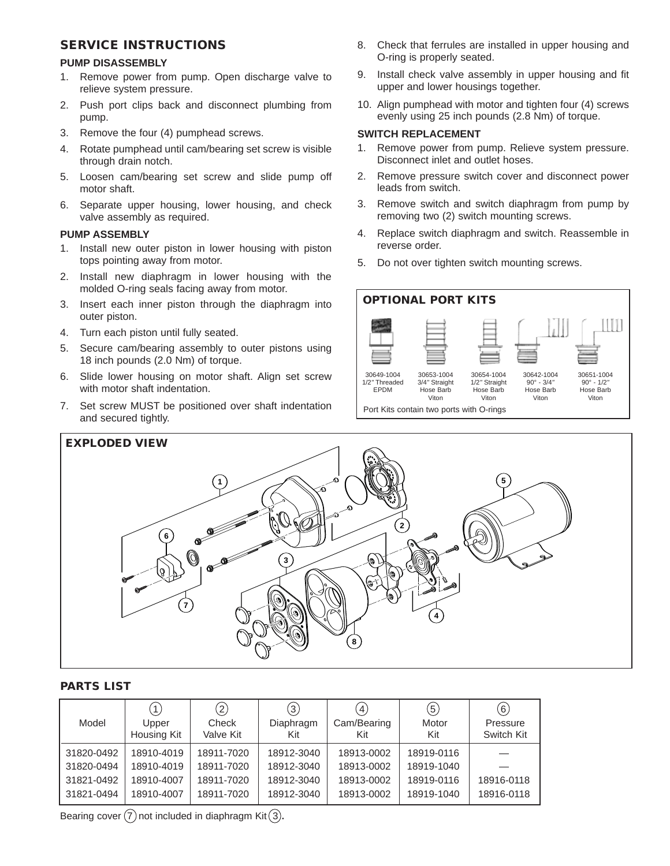## **SERVICE INSTRUCTIONS**

#### **PUMP DISASSEMBLY**

- 1. Remove power from pump. Open discharge valve to relieve system pressure.
- 2. Push port clips back and disconnect plumbing from pump.
- 3. Remove the four (4) pumphead screws.
- 4. Rotate pumphead until cam/bearing set screw is visible through drain notch.
- 5. Loosen cam/bearing set screw and slide pump off motor shaft.
- 6. Separate upper housing, lower housing, and check valve assembly as required.

#### **PUMP ASSEMBLY**

- 1. Install new outer piston in lower housing with piston tops pointing away from motor.
- 2. Install new diaphragm in lower housing with the molded O-ring seals facing away from motor.
- 3. Insert each inner piston through the diaphragm into outer piston.
- 4. Turn each piston until fully seated.
- 5. Secure cam/bearing assembly to outer pistons using 18 inch pounds (2.0 Nm) of torque.
- 6. Slide lower housing on motor shaft. Align set screw with motor shaft indentation.
- 7. Set screw MUST be positioned over shaft indentation and secured tightly.
- 8. Check that ferrules are installed in upper housing and O-ring is properly seated.
- 9. Install check valve assembly in upper housing and fit upper and lower housings together.
- 10. Align pumphead with motor and tighten four (4) screws evenly using 25 inch pounds (2.8 Nm) of torque.

#### **SWITCH REPLACEMENT**

- 1. Remove power from pump. Relieve system pressure. Disconnect inlet and outlet hoses.
- 2. Remove pressure switch cover and disconnect power leads from switch.
- 3. Remove switch and switch diaphragm from pump by removing two (2) switch mounting screws.
- 4. Replace switch diaphragm and switch. Reassemble in reverse order.
- 5. Do not over tighten switch mounting screws.





#### **PARTS LIST**

|            | 1)                   | $\left( 2\right)$  | $\left(3\right)$ | $\left  4 \right\rangle$ | $\left(5\right)$ | (6)                    |
|------------|----------------------|--------------------|------------------|--------------------------|------------------|------------------------|
| Model      | Upper<br>Housing Kit | Check<br>Valve Kit | Diaphragm<br>Kit | Cam/Bearing<br>Kit       | Motor<br>Kit     | Pressure<br>Switch Kit |
|            |                      |                    |                  |                          |                  |                        |
| 31820-0492 | 18910-4019           | 18911-7020         | 18912-3040       | 18913-0002               | 18919-0116       |                        |
| 31820-0494 | 18910-4019           | 18911-7020         | 18912-3040       | 18913-0002               | 18919-1040       |                        |
| 31821-0492 | 18910-4007           | 18911-7020         | 18912-3040       | 18913-0002               | 18919-0116       | 18916-0118             |
| 31821-0494 | 18910-4007           | 18911-7020         | 18912-3040       | 18913-0002               | 18919-1040       | 18916-0118             |

Bearing cover  $(7)$  not included in diaphragm Kit $(3)$ .